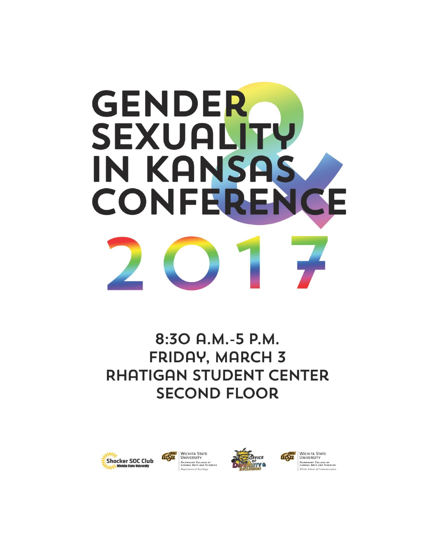# **GENDER SEXUALITY** IN KANSAS CONFERENC E

# 8:30 A.M.-5 P.M. **FRIDAY, MARCH 3 RHATIGAN STUDENT CENTER SECOND FLOOR**







WICHITA STATE tusu **FAIRMOUNT COLLEGE OF**<br>LIBERAL ARTS AND SCIENCES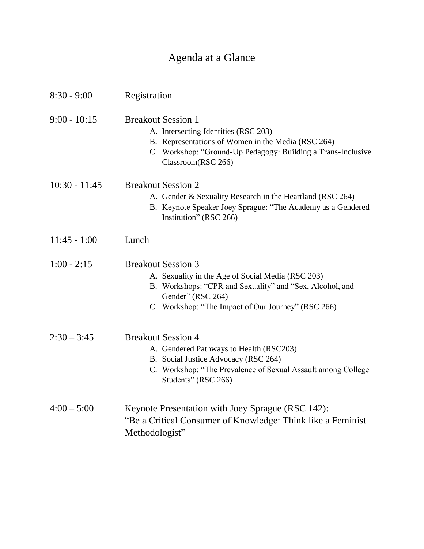# Agenda at a Glance

| $8:30 - 9:00$   | Registration                                                                                                                                                                                                          |
|-----------------|-----------------------------------------------------------------------------------------------------------------------------------------------------------------------------------------------------------------------|
| $9:00 - 10:15$  | <b>Breakout Session 1</b><br>A. Intersecting Identities (RSC 203)<br>B. Representations of Women in the Media (RSC 264)<br>C. Workshop: "Ground-Up Pedagogy: Building a Trans-Inclusive<br>Classroom(RSC 266)         |
| $10:30 - 11:45$ | <b>Breakout Session 2</b><br>A. Gender & Sexuality Research in the Heartland (RSC 264)<br>B. Keynote Speaker Joey Sprague: "The Academy as a Gendered<br>Institution" (RSC 266)                                       |
| $11:45 - 1:00$  | Lunch                                                                                                                                                                                                                 |
| $1:00 - 2:15$   | <b>Breakout Session 3</b><br>A. Sexuality in the Age of Social Media (RSC 203)<br>B. Workshops: "CPR and Sexuality" and "Sex, Alcohol, and<br>Gender" (RSC 264)<br>C. Workshop: "The Impact of Our Journey" (RSC 266) |
| $2:30 - 3:45$   | <b>Breakout Session 4</b><br>A. Gendered Pathways to Health (RSC203)<br>B. Social Justice Advocacy (RSC 264)<br>C. Workshop: "The Prevalence of Sexual Assault among College<br>Students" (RSC 266)                   |
| $4:00 - 5:00$   | Keynote Presentation with Joey Sprague (RSC 142):<br>"Be a Critical Consumer of Knowledge: Think like a Feminist<br>Methodologist"                                                                                    |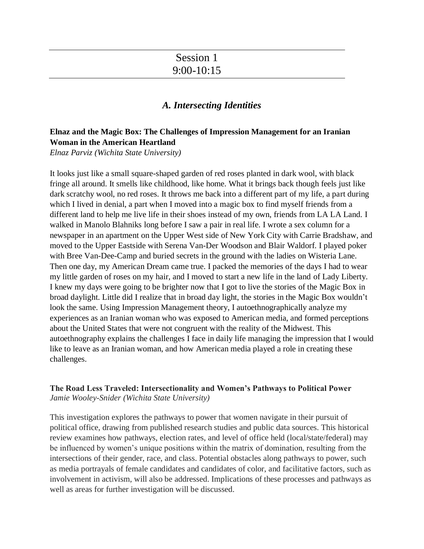# Session 1 9:00-10:15

# *A. Intersecting Identities*

# **Elnaz and the Magic Box: The Challenges of Impression Management for an Iranian Woman in the American Heartland**

*Elnaz Parviz (Wichita State University)*

It looks just like a small square-shaped garden of red roses planted in dark wool, with black fringe all around. It smells like childhood, like home. What it brings back though feels just like dark scratchy wool, no red roses. It throws me back into a different part of my life, a part during which I lived in denial, a part when I moved into a magic box to find myself friends from a different land to help me live life in their shoes instead of my own, friends from LA LA Land. I walked in Manolo Blahniks long before I saw a pair in real life. I wrote a sex column for a newspaper in an apartment on the Upper West side of New York City with Carrie Bradshaw, and moved to the Upper Eastside with Serena Van-Der Woodson and Blair Waldorf. I played poker with Bree Van-Dee-Camp and buried secrets in the ground with the ladies on Wisteria Lane. Then one day, my American Dream came true. I packed the memories of the days I had to wear my little garden of roses on my hair, and I moved to start a new life in the land of Lady Liberty. I knew my days were going to be brighter now that I got to live the stories of the Magic Box in broad daylight. Little did I realize that in broad day light, the stories in the Magic Box wouldn't look the same. Using Impression Management theory, I autoethnographically analyze my experiences as an Iranian woman who was exposed to American media, and formed perceptions about the United States that were not congruent with the reality of the Midwest. This autoethnography explains the challenges I face in daily life managing the impression that I would like to leave as an Iranian woman, and how American media played a role in creating these challenges.

#### **The Road Less Traveled: Intersectionality and Women's Pathways to Political Power** *Jamie Wooley-Snider (Wichita State University)*

This investigation explores the pathways to power that women navigate in their pursuit of political office, drawing from published research studies and public data sources. This historical review examines how pathways, election rates, and level of office held (local/state/federal) may be influenced by women's unique positions within the matrix of domination, resulting from the intersections of their gender, race, and class. Potential obstacles along pathways to power, such as media portrayals of female candidates and candidates of color, and facilitative factors, such as involvement in activism, will also be addressed. Implications of these processes and pathways as well as areas for further investigation will be discussed.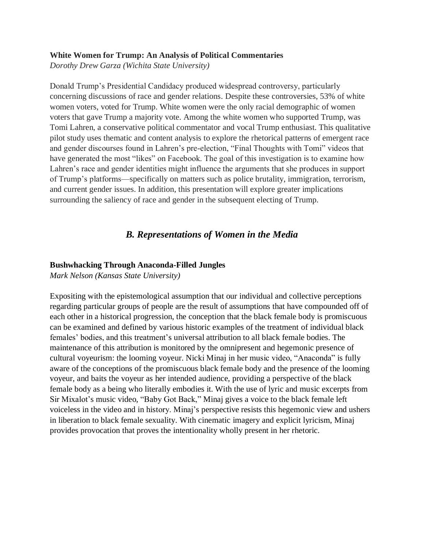#### **White Women for Trump: An Analysis of Political Commentaries**

*Dorothy Drew Garza (Wichita State University)*

Donald Trump's Presidential Candidacy produced widespread controversy, particularly concerning discussions of race and gender relations. Despite these controversies, 53% of white women voters, voted for Trump. White women were the only racial demographic of women voters that gave Trump a majority vote. Among the white women who supported Trump, was Tomi Lahren, a conservative political commentator and vocal Trump enthusiast. This qualitative pilot study uses thematic and content analysis to explore the rhetorical patterns of emergent race and gender discourses found in Lahren's pre-election, "Final Thoughts with Tomi" videos that have generated the most "likes" on Facebook. The goal of this investigation is to examine how Lahren's race and gender identities might influence the arguments that she produces in support of Trump's platforms—specifically on matters such as police brutality, immigration, terrorism, and current gender issues. In addition, this presentation will explore greater implications surrounding the saliency of race and gender in the subsequent electing of Trump.

# *B. Representations of Women in the Media*

#### **Bushwhacking Through Anaconda-Filled Jungles**

*Mark Nelson (Kansas State University)*

Expositing with the epistemological assumption that our individual and collective perceptions regarding particular groups of people are the result of assumptions that have compounded off of each other in a historical progression, the conception that the black female body is promiscuous can be examined and defined by various historic examples of the treatment of individual black females' bodies, and this treatment's universal attribution to all black female bodies. The maintenance of this attribution is monitored by the omnipresent and hegemonic presence of cultural voyeurism: the looming voyeur. Nicki Minaj in her music video, "Anaconda" is fully aware of the conceptions of the promiscuous black female body and the presence of the looming voyeur, and baits the voyeur as her intended audience, providing a perspective of the black female body as a being who literally embodies it. With the use of lyric and music excerpts from Sir Mixalot's music video, "Baby Got Back," Minaj gives a voice to the black female left voiceless in the video and in history. Minaj's perspective resists this hegemonic view and ushers in liberation to black female sexuality. With cinematic imagery and explicit lyricism, Minaj provides provocation that proves the intentionality wholly present in her rhetoric.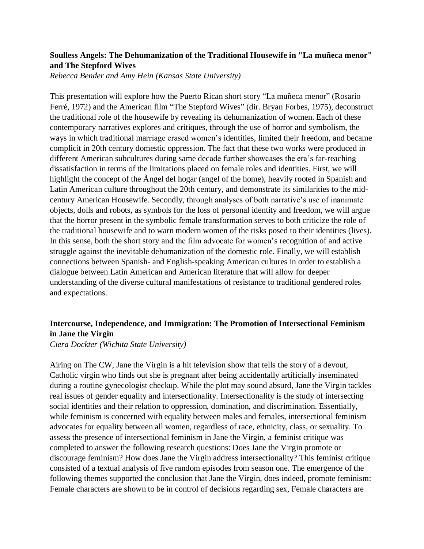#### **Soulless Angels: The Dehumanization of the Traditional Housewife in "La muñeca menor" and The Stepford Wives**

*Rebecca Bender and Amy Hein (Kansas State University)*

This presentation will explore how the Puerto Rican short story "La muñeca menor" (Rosario Ferré, 1972) and the American film "The Stepford Wives" (dir. Bryan Forbes, 1975), deconstruct the traditional role of the housewife by revealing its dehumanization of women. Each of these contemporary narratives explores and critiques, through the use of horror and symbolism, the ways in which traditional marriage erased women's identities, limited their freedom, and became complicit in 20th century domestic oppression. The fact that these two works were produced in different American subcultures during same decade further showcases the era's far-reaching dissatisfaction in terms of the limitations placed on female roles and identities. First, we will highlight the concept of the Ãngel del hogar (angel of the home), heavily rooted in Spanish and Latin American culture throughout the 20th century, and demonstrate its similarities to the midcentury American Housewife. Secondly, through analyses of both narrative's use of inanimate objects, dolls and robots, as symbols for the loss of personal identity and freedom, we will argue that the horror present in the symbolic female transformation serves to both criticize the role of the traditional housewife and to warn modern women of the risks posed to their identities (lives). In this sense, both the short story and the film advocate for women's recognition of and active struggle against the inevitable dehumanization of the domestic role. Finally, we will establish connections between Spanish- and English-speaking American cultures in order to establish a dialogue between Latin American and American literature that will allow for deeper understanding of the diverse cultural manifestations of resistance to traditional gendered roles and expectations.

# **Intercourse, Independence, and Immigration: The Promotion of Intersectional Feminism in Jane the Virgin**

*Ciera Dockter (Wichita State University)*

Airing on The CW, Jane the Virgin is a hit television show that tells the story of a devout, Catholic virgin who finds out she is pregnant after being accidentally artificially inseminated during a routine gynecologist checkup. While the plot may sound absurd, Jane the Virgin tackles real issues of gender equality and intersectionality. Intersectionality is the study of intersecting social identities and their relation to oppression, domination, and discrimination. Essentially, while feminism is concerned with equality between males and females, intersectional feminism advocates for equality between all women, regardless of race, ethnicity, class, or sexuality. To assess the presence of intersectional feminism in Jane the Virgin, a feminist critique was completed to answer the following research questions: Does Jane the Virgin promote or discourage feminism? How does Jane the Virgin address intersectionality? This feminist critique consisted of a textual analysis of five random episodes from season one. The emergence of the following themes supported the conclusion that Jane the Virgin, does indeed, promote feminism: Female characters are shown to be in control of decisions regarding sex, Female characters are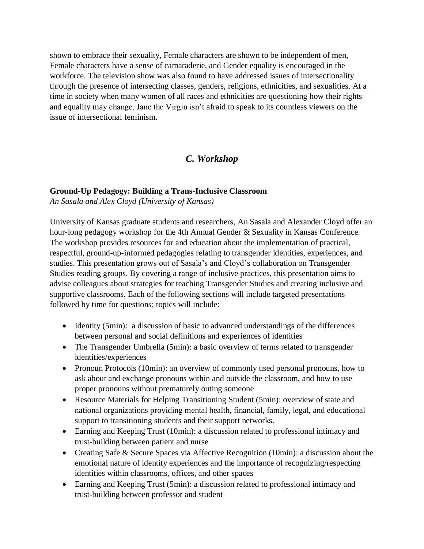shown to embrace their sexuality, Female characters are shown to be independent of men, Female characters have a sense of camaraderie, and Gender equality is encouraged in the workforce. The television show was also found to have addressed issues of intersectionality through the presence of intersecting classes, genders, religions, ethnicities, and sexualities. At a time in society when many women of all races and ethnicities are questioning how their rights and equality may change, Jane the Virgin isn't afraid to speak to its countless viewers on the issue of intersectional feminism.

# *C. Workshop*

#### **Ground-Up Pedagogy: Building a Trans-Inclusive Classroom**

*An Sasala and Alex Cloyd (University of Kansas)*

University of Kansas graduate students and researchers, An Sasala and Alexander Cloyd offer an hour-long pedagogy workshop for the 4th Annual Gender & Sexuality in Kansas Conference. The workshop provides resources for and education about the implementation of practical, respectful, ground-up-informed pedagogies relating to transgender identities, experiences, and studies. This presentation grows out of Sasala's and Cloyd's collaboration on Transgender Studies reading groups. By covering a range of inclusive practices, this presentation aims to advise colleagues about strategies for teaching Transgender Studies and creating inclusive and supportive classrooms. Each of the following sections will include targeted presentations followed by time for questions; topics will include:

- Identity (5min): a discussion of basic to advanced understandings of the differences between personal and social definitions and experiences of identities
- The Transgender Umbrella (5min): a basic overview of terms related to transgender identities/experiences
- Pronoun Protocols (10min): an overview of commonly used personal pronouns, how to ask about and exchange pronouns within and outside the classroom, and how to use proper pronouns without prematurely outing someone
- Resource Materials for Helping Transitioning Student (5min): overview of state and national organizations providing mental health, financial, family, legal, and educational support to transitioning students and their support networks.
- Earning and Keeping Trust (10min): a discussion related to professional intimacy and trust-building between patient and nurse
- Creating Safe & Secure Spaces via Affective Recognition (10min): a discussion about the emotional nature of identity experiences and the importance of recognizing/respecting identities within classrooms, offices, and other spaces
- Earning and Keeping Trust (5min): a discussion related to professional intimacy and trust-building between professor and student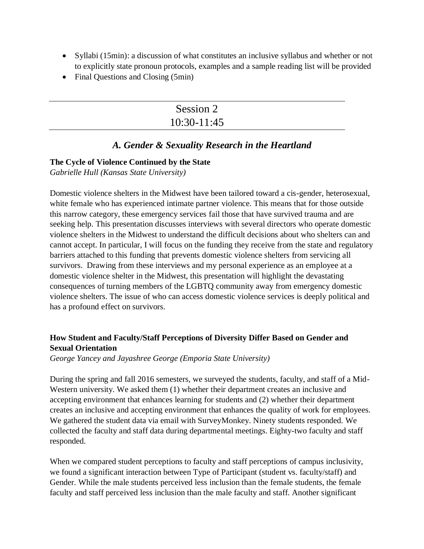- Syllabi (15min): a discussion of what constitutes an inclusive syllabus and whether or not to explicitly state pronoun protocols, examples and a sample reading list will be provided
- Final Questions and Closing (5min)

| Session 2     |
|---------------|
| $10:30-11:45$ |

# *A. Gender & Sexuality Research in the Heartland*

#### **The Cycle of Violence Continued by the State**

*Gabrielle Hull (Kansas State University)*

Domestic violence shelters in the Midwest have been tailored toward a cis-gender, heterosexual, white female who has experienced intimate partner violence. This means that for those outside this narrow category, these emergency services fail those that have survived trauma and are seeking help. This presentation discusses interviews with several directors who operate domestic violence shelters in the Midwest to understand the difficult decisions about who shelters can and cannot accept. In particular, I will focus on the funding they receive from the state and regulatory barriers attached to this funding that prevents domestic violence shelters from servicing all survivors. Drawing from these interviews and my personal experience as an employee at a domestic violence shelter in the Midwest, this presentation will highlight the devastating consequences of turning members of the LGBTQ community away from emergency domestic violence shelters. The issue of who can access domestic violence services is deeply political and has a profound effect on survivors.

# **How Student and Faculty/Staff Perceptions of Diversity Differ Based on Gender and Sexual Orientation**

*George Yancey and Jayashree George (Emporia State University)*

During the spring and fall 2016 semesters, we surveyed the students, faculty, and staff of a Mid-Western university. We asked them (1) whether their department creates an inclusive and accepting environment that enhances learning for students and (2) whether their department creates an inclusive and accepting environment that enhances the quality of work for employees. We gathered the student data via email with SurveyMonkey. Ninety students responded. We collected the faculty and staff data during departmental meetings. Eighty-two faculty and staff responded.

When we compared student perceptions to faculty and staff perceptions of campus inclusivity, we found a significant interaction between Type of Participant (student vs. faculty/staff) and Gender. While the male students perceived less inclusion than the female students, the female faculty and staff perceived less inclusion than the male faculty and staff. Another significant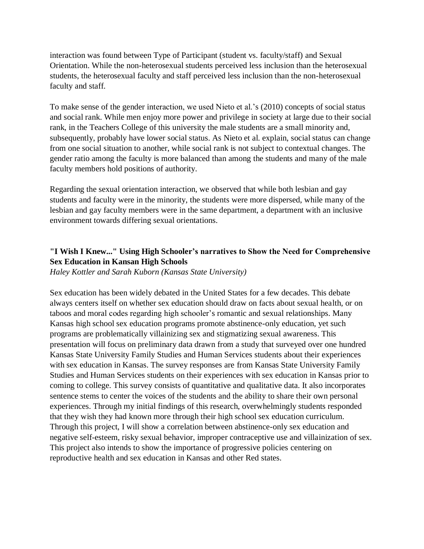interaction was found between Type of Participant (student vs. faculty/staff) and Sexual Orientation. While the non-heterosexual students perceived less inclusion than the heterosexual students, the heterosexual faculty and staff perceived less inclusion than the non-heterosexual faculty and staff.

To make sense of the gender interaction, we used Nieto et al.'s (2010) concepts of social status and social rank. While men enjoy more power and privilege in society at large due to their social rank, in the Teachers College of this university the male students are a small minority and, subsequently, probably have lower social status. As Nieto et al. explain, social status can change from one social situation to another, while social rank is not subject to contextual changes. The gender ratio among the faculty is more balanced than among the students and many of the male faculty members hold positions of authority.

Regarding the sexual orientation interaction, we observed that while both lesbian and gay students and faculty were in the minority, the students were more dispersed, while many of the lesbian and gay faculty members were in the same department, a department with an inclusive environment towards differing sexual orientations.

# **"I Wish I Knew..." Using High Schooler's narratives to Show the Need for Comprehensive Sex Education in Kansan High Schools**

*Haley Kottler and Sarah Kuborn (Kansas State University)*

Sex education has been widely debated in the United States for a few decades. This debate always centers itself on whether sex education should draw on facts about sexual health, or on taboos and moral codes regarding high schooler's romantic and sexual relationships. Many Kansas high school sex education programs promote abstinence-only education, yet such programs are problematically villainizing sex and stigmatizing sexual awareness. This presentation will focus on preliminary data drawn from a study that surveyed over one hundred Kansas State University Family Studies and Human Services students about their experiences with sex education in Kansas. The survey responses are from Kansas State University Family Studies and Human Services students on their experiences with sex education in Kansas prior to coming to college. This survey consists of quantitative and qualitative data. It also incorporates sentence stems to center the voices of the students and the ability to share their own personal experiences. Through my initial findings of this research, overwhelmingly students responded that they wish they had known more through their high school sex education curriculum. Through this project, I will show a correlation between abstinence-only sex education and negative self-esteem, risky sexual behavior, improper contraceptive use and villainization of sex. This project also intends to show the importance of progressive policies centering on reproductive health and sex education in Kansas and other Red states.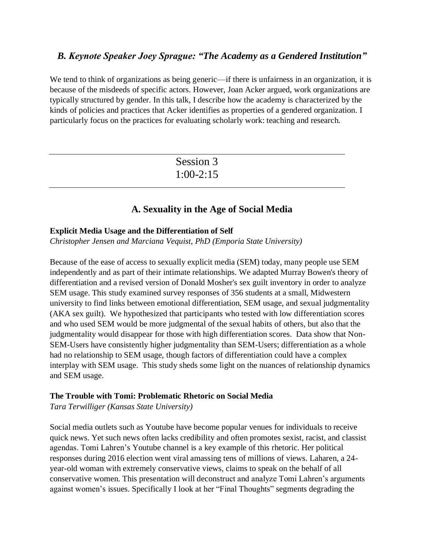# *B. Keynote Speaker Joey Sprague: "The Academy as a Gendered Institution"*

We tend to think of organizations as being generic—if there is unfairness in an organization, it is because of the misdeeds of specific actors. However, Joan Acker argued, work organizations are typically structured by gender. In this talk, I describe how the academy is characterized by the kinds of policies and practices that Acker identifies as properties of a gendered organization. I particularly focus on the practices for evaluating scholarly work: teaching and research.

| Session 3   |
|-------------|
| $1:00-2:15$ |

# **A. Sexuality in the Age of Social Media**

#### **Explicit Media Usage and the Differentiation of Self**

*Christopher Jensen and Marciana Vequist, PhD (Emporia State University)*

Because of the ease of access to sexually explicit media (SEM) today, many people use SEM independently and as part of their intimate relationships. We adapted Murray Bowen's theory of differentiation and a revised version of Donald Mosher's sex guilt inventory in order to analyze SEM usage. This study examined survey responses of 356 students at a small, Midwestern university to find links between emotional differentiation, SEM usage, and sexual judgmentality (AKA sex guilt). We hypothesized that participants who tested with low differentiation scores and who used SEM would be more judgmental of the sexual habits of others, but also that the judgmentality would disappear for those with high differentiation scores. Data show that Non-SEM-Users have consistently higher judgmentality than SEM-Users; differentiation as a whole had no relationship to SEM usage, though factors of differentiation could have a complex interplay with SEM usage. This study sheds some light on the nuances of relationship dynamics and SEM usage.

#### **The Trouble with Tomi: Problematic Rhetoric on Social Media**

*Tara Terwilliger (Kansas State University)*

Social media outlets such as Youtube have become popular venues for individuals to receive quick news. Yet such news often lacks credibility and often promotes sexist, racist, and classist agendas. Tomi Lahren's Youtube channel is a key example of this rhetoric. Her political responses during 2016 election went viral amassing tens of millions of views. Laharen, a 24 year-old woman with extremely conservative views, claims to speak on the behalf of all conservative women. This presentation will deconstruct and analyze Tomi Lahren's arguments against women's issues. Specifically I look at her "Final Thoughts" segments degrading the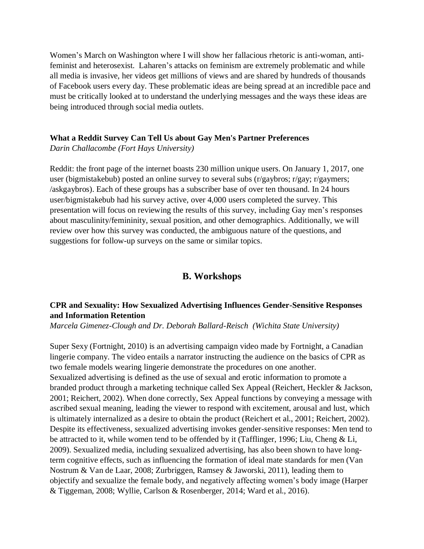Women's March on Washington where I will show her fallacious rhetoric is anti-woman, antifeminist and heterosexist. Laharen's attacks on feminism are extremely problematic and while all media is invasive, her videos get millions of views and are shared by hundreds of thousands of Facebook users every day. These problematic ideas are being spread at an incredible pace and must be critically looked at to understand the underlying messages and the ways these ideas are being introduced through social media outlets.

#### **What a Reddit Survey Can Tell Us about Gay Men's Partner Preferences**

*Darin Challacombe (Fort Hays University)*

Reddit: the front page of the internet boasts 230 million unique users. On January 1, 2017, one user (bigmistakebub) posted an online survey to several subs (r/gaybros; r/gay; r/gaymers; /askgaybros). Each of these groups has a subscriber base of over ten thousand. In 24 hours user/bigmistakebub had his survey active, over 4,000 users completed the survey. This presentation will focus on reviewing the results of this survey, including Gay men's responses about masculinity/femininity, sexual position, and other demographics. Additionally, we will review over how this survey was conducted, the ambiguous nature of the questions, and suggestions for follow-up surveys on the same or similar topics.

# **B. Workshops**

#### **CPR and Sexuality: How Sexualized Advertising Influences Gender-Sensitive Responses and Information Retention**

*Marcela Gimenez-Clough and Dr. Deborah Ballard-Reisch (Wichita State University)*

Super Sexy (Fortnight, 2010) is an advertising campaign video made by Fortnight, a Canadian lingerie company. The video entails a narrator instructing the audience on the basics of CPR as two female models wearing lingerie demonstrate the procedures on one another. Sexualized advertising is defined as the use of sexual and erotic information to promote a branded product through a marketing technique called Sex Appeal (Reichert, Heckler & Jackson, 2001; Reichert, 2002). When done correctly, Sex Appeal functions by conveying a message with ascribed sexual meaning, leading the viewer to respond with excitement, arousal and lust, which is ultimately internalized as a desire to obtain the product (Reichert et al., 2001; Reichert, 2002). Despite its effectiveness, sexualized advertising invokes gender-sensitive responses: Men tend to be attracted to it, while women tend to be offended by it (Tafflinger, 1996; Liu, Cheng & Li, 2009). Sexualized media, including sexualized advertising, has also been shown to have longterm cognitive effects, such as influencing the formation of ideal mate standards for men (Van Nostrum & Van de Laar, 2008; Zurbriggen, Ramsey & Jaworski, 2011), leading them to objectify and sexualize the female body, and negatively affecting women's body image (Harper & Tiggeman, 2008; Wyllie, Carlson & Rosenberger, 2014; Ward et al., 2016).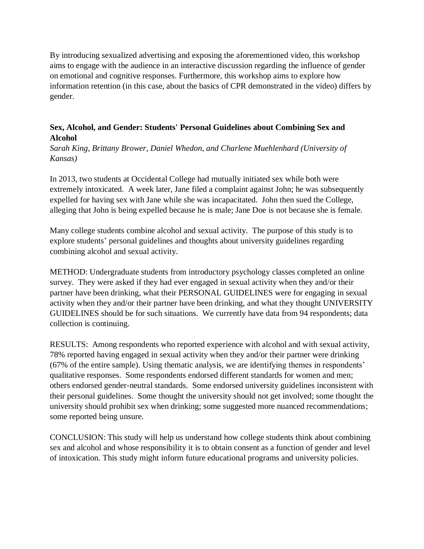By introducing sexualized advertising and exposing the aforementioned video, this workshop aims to engage with the audience in an interactive discussion regarding the influence of gender on emotional and cognitive responses. Furthermore, this workshop aims to explore how information retention (in this case, about the basics of CPR demonstrated in the video) differs by gender.

# **Sex, Alcohol, and Gender: Students' Personal Guidelines about Combining Sex and Alcohol**

*Sarah King, Brittany Brower, Daniel Whedon, and Charlene Muehlenhard (University of Kansas)*

In 2013, two students at Occidental College had mutually initiated sex while both were extremely intoxicated. A week later, Jane filed a complaint against John; he was subsequently expelled for having sex with Jane while she was incapacitated. John then sued the College, alleging that John is being expelled because he is male; Jane Doe is not because she is female.

Many college students combine alcohol and sexual activity. The purpose of this study is to explore students' personal guidelines and thoughts about university guidelines regarding combining alcohol and sexual activity.

METHOD: Undergraduate students from introductory psychology classes completed an online survey. They were asked if they had ever engaged in sexual activity when they and/or their partner have been drinking, what their PERSONAL GUIDELINES were for engaging in sexual activity when they and/or their partner have been drinking, and what they thought UNIVERSITY GUIDELINES should be for such situations. We currently have data from 94 respondents; data collection is continuing.

RESULTS: Among respondents who reported experience with alcohol and with sexual activity, 78% reported having engaged in sexual activity when they and/or their partner were drinking (67% of the entire sample). Using thematic analysis, we are identifying themes in respondents' qualitative responses. Some respondents endorsed different standards for women and men; others endorsed gender-neutral standards. Some endorsed university guidelines inconsistent with their personal guidelines. Some thought the university should not get involved; some thought the university should prohibit sex when drinking; some suggested more nuanced recommendations; some reported being unsure.

CONCLUSION: This study will help us understand how college students think about combining sex and alcohol and whose responsibility it is to obtain consent as a function of gender and level of intoxication. This study might inform future educational programs and university policies.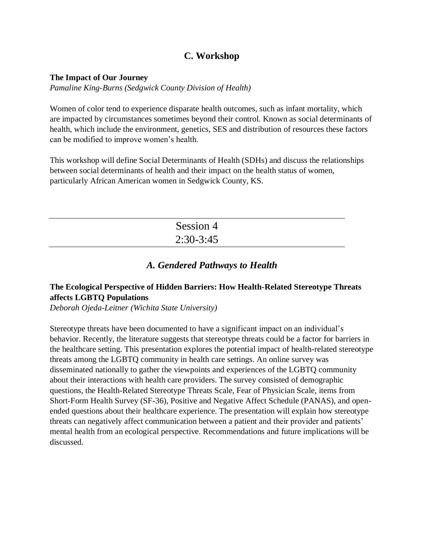# **C. Workshop**

#### **The Impact of Our Journey**

*Pamaline King-Burns (Sedgwick County Division of Health)*

Women of color tend to experience disparate health outcomes, such as infant mortality, which are impacted by circumstances sometimes beyond their control. Known as social determinants of health, which include the environment, genetics, SES and distribution of resources these factors can be modified to improve women's health.

This workshop will define Social Determinants of Health (SDHs) and discuss the relationships between social determinants of health and their impact on the health status of women, particularly African American women in Sedgwick County, KS.

| Session 4   |
|-------------|
| $2:30-3:45$ |

# *A. Gendered Pathways to Health*

# **The Ecological Perspective of Hidden Barriers: How Health-Related Stereotype Threats affects LGBTQ Populations**

*Deborah Ojeda-Leitner (Wichita State University)*

Stereotype threats have been documented to have a significant impact on an individual's behavior. Recently, the literature suggests that stereotype threats could be a factor for barriers in the healthcare setting. This presentation explores the potential impact of health-related stereotype threats among the LGBTQ community in health care settings. An online survey was disseminated nationally to gather the viewpoints and experiences of the LGBTQ community about their interactions with health care providers. The survey consisted of demographic questions, the Health-Related Stereotype Threats Scale, Fear of Physician Scale, items from Short-Form Health Survey (SF-36), Positive and Negative Affect Schedule (PANAS), and openended questions about their healthcare experience. The presentation will explain how stereotype threats can negatively affect communication between a patient and their provider and patients' mental health from an ecological perspective. Recommendations and future implications will be discussed.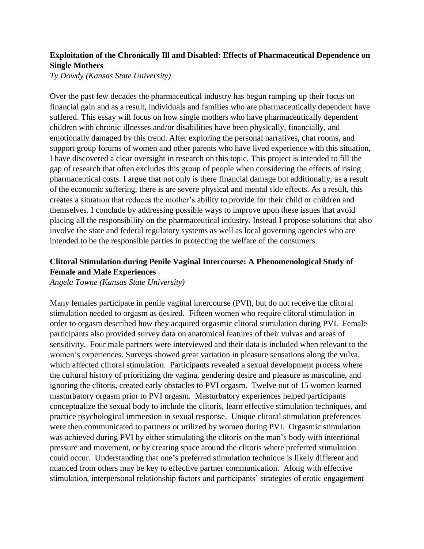# **Exploitation of the Chronically Ill and Disabled: Effects of Pharmaceutical Dependence on Single Mothers**

*Ty Dowdy (Kansas State University)*

Over the past few decades the pharmaceutical industry has begun ramping up their focus on financial gain and as a result, individuals and families who are pharmaceutically dependent have suffered. This essay will focus on how single mothers who have pharmaceutically dependent children with chronic illnesses and/or disabilities have been physically, financially, and emotionally damaged by this trend. After exploring the personal narratives, chat rooms, and support group forums of women and other parents who have lived experience with this situation, I have discovered a clear oversight in research on this topic. This project is intended to fill the gap of research that often excludes this group of people when considering the effects of rising pharmaceutical costs. I argue that not only is there financial damage but additionally, as a result of the economic suffering, there is are severe physical and mental side effects. As a result, this creates a situation that reduces the mother's ability to provide for their child or children and themselves. I conclude by addressing possible ways to improve upon these issues that avoid placing all the responsibility on the pharmaceutical industry. Instead I propose solutions that also involve the state and federal regulatory systems as well as local governing agencies who are intended to be the responsible parties in protecting the welfare of the consumers.

# **Clitoral Stimulation during Penile Vaginal Intercourse: A Phenomenological Study of Female and Male Experiences**

*Angela Towne (Kansas State University)*

Many females participate in penile vaginal intercourse (PVI), but do not receive the clitoral stimulation needed to orgasm as desired. Fifteen women who require clitoral stimulation in order to orgasm described how they acquired orgasmic clitoral stimulation during PVI. Female participants also provided survey data on anatomical features of their vulvas and areas of sensitivity. Four male partners were interviewed and their data is included when relevant to the women's experiences. Surveys showed great variation in pleasure sensations along the vulva, which affected clitoral stimulation. Participants revealed a sexual development process where the cultural history of prioritizing the vagina, gendering desire and pleasure as masculine, and ignoring the clitoris, created early obstacles to PVI orgasm. Twelve out of 15 women learned masturbatory orgasm prior to PVI orgasm. Masturbatory experiences helped participants conceptualize the sexual body to include the clitoris, learn effective stimulation techniques, and practice psychological immersion in sexual response. Unique clitoral stimulation preferences were then communicated to partners or utilized by women during PVI. Orgasmic stimulation was achieved during PVI by either stimulating the clitoris on the man's body with intentional pressure and movement, or by creating space around the clitoris where preferred stimulation could occur. Understanding that one's preferred stimulation technique is likely different and nuanced from others may be key to effective partner communication. Along with effective stimulation, interpersonal relationship factors and participants' strategies of erotic engagement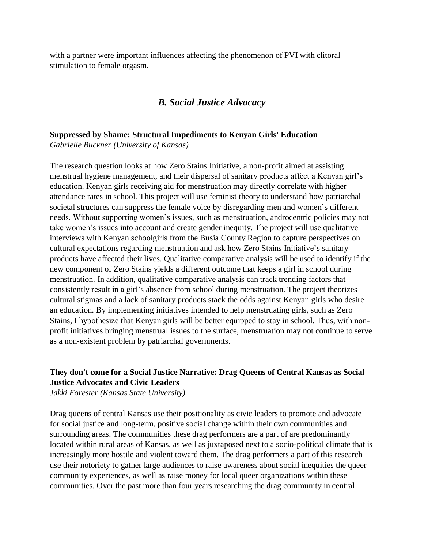with a partner were important influences affecting the phenomenon of PVI with clitoral stimulation to female orgasm.

# *B. Social Justice Advocacy*

# **Suppressed by Shame: Structural Impediments to Kenyan Girls' Education**

*Gabrielle Buckner (University of Kansas)*

The research question looks at how Zero Stains Initiative, a non-profit aimed at assisting menstrual hygiene management, and their dispersal of sanitary products affect a Kenyan girl's education. Kenyan girls receiving aid for menstruation may directly correlate with higher attendance rates in school. This project will use feminist theory to understand how patriarchal societal structures can suppress the female voice by disregarding men and women's different needs. Without supporting women's issues, such as menstruation, androcentric policies may not take women's issues into account and create gender inequity. The project will use qualitative interviews with Kenyan schoolgirls from the Busia County Region to capture perspectives on cultural expectations regarding menstruation and ask how Zero Stains Initiative's sanitary products have affected their lives. Qualitative comparative analysis will be used to identify if the new component of Zero Stains yields a different outcome that keeps a girl in school during menstruation. In addition, qualitative comparative analysis can track trending factors that consistently result in a girl's absence from school during menstruation. The project theorizes cultural stigmas and a lack of sanitary products stack the odds against Kenyan girls who desire an education. By implementing initiatives intended to help menstruating girls, such as Zero Stains, I hypothesize that Kenyan girls will be better equipped to stay in school. Thus, with nonprofit initiatives bringing menstrual issues to the surface, menstruation may not continue to serve as a non-existent problem by patriarchal governments.

# **They don't come for a Social Justice Narrative: Drag Queens of Central Kansas as Social Justice Advocates and Civic Leaders**

*Jakki Forester (Kansas State University)*

Drag queens of central Kansas use their positionality as civic leaders to promote and advocate for social justice and long-term, positive social change within their own communities and surrounding areas. The communities these drag performers are a part of are predominantly located within rural areas of Kansas, as well as juxtaposed next to a socio-political climate that is increasingly more hostile and violent toward them. The drag performers a part of this research use their notoriety to gather large audiences to raise awareness about social inequities the queer community experiences, as well as raise money for local queer organizations within these communities. Over the past more than four years researching the drag community in central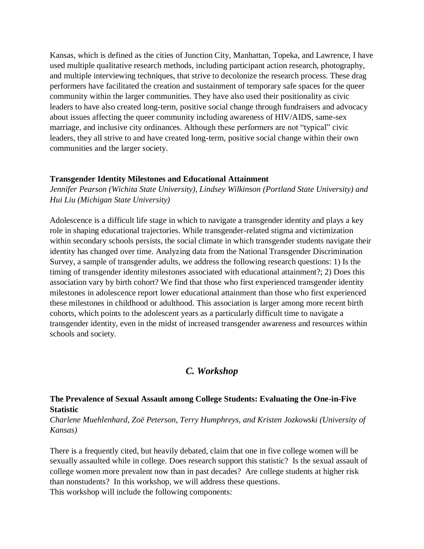Kansas, which is defined as the cities of Junction City, Manhattan, Topeka, and Lawrence, I have used multiple qualitative research methods, including participant action research, photography, and multiple interviewing techniques, that strive to decolonize the research process. These drag performers have facilitated the creation and sustainment of temporary safe spaces for the queer community within the larger communities. They have also used their positionality as civic leaders to have also created long-term, positive social change through fundraisers and advocacy about issues affecting the queer community including awareness of HIV/AIDS, same-sex marriage, and inclusive city ordinances. Although these performers are not "typical" civic leaders, they all strive to and have created long-term, positive social change within their own communities and the larger society.

#### **Transgender Identity Milestones and Educational Attainment**

*Jennifer Pearson (Wichita State University), Lindsey Wilkinson (Portland State University) and Hui Liu (Michigan State University)*

Adolescence is a difficult life stage in which to navigate a transgender identity and plays a key role in shaping educational trajectories. While transgender-related stigma and victimization within secondary schools persists, the social climate in which transgender students navigate their identity has changed over time. Analyzing data from the National Transgender Discrimination Survey, a sample of transgender adults, we address the following research questions: 1) Is the timing of transgender identity milestones associated with educational attainment?; 2) Does this association vary by birth cohort? We find that those who first experienced transgender identity milestones in adolescence report lower educational attainment than those who first experienced these milestones in childhood or adulthood. This association is larger among more recent birth cohorts, which points to the adolescent years as a particularly difficult time to navigate a transgender identity, even in the midst of increased transgender awareness and resources within schools and society.

# *C. Workshop*

#### **The Prevalence of Sexual Assault among College Students: Evaluating the One-in-Five Statistic**

*Charlene Muehlenhard, Zoë Peterson, Terry Humphreys, and Kristen Jozkowski (University of Kansas)*

There is a frequently cited, but heavily debated, claim that one in five college women will be sexually assaulted while in college. Does research support this statistic? Is the sexual assault of college women more prevalent now than in past decades? Are college students at higher risk than nonstudents? In this workshop, we will address these questions. This workshop will include the following components: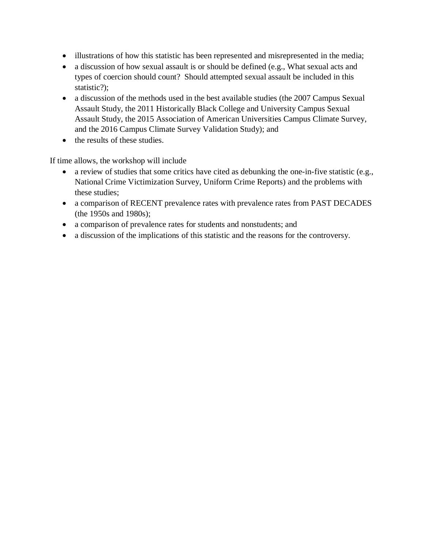- illustrations of how this statistic has been represented and misrepresented in the media;
- a discussion of how sexual assault is or should be defined (e.g., What sexual acts and types of coercion should count? Should attempted sexual assault be included in this statistic?);
- a discussion of the methods used in the best available studies (the 2007 Campus Sexual Assault Study, the 2011 Historically Black College and University Campus Sexual Assault Study, the 2015 Association of American Universities Campus Climate Survey, and the 2016 Campus Climate Survey Validation Study); and
- the results of these studies.

If time allows, the workshop will include

- a review of studies that some critics have cited as debunking the one-in-five statistic (e.g., National Crime Victimization Survey, Uniform Crime Reports) and the problems with these studies;
- a comparison of RECENT prevalence rates with prevalence rates from PAST DECADES (the 1950s and 1980s);
- a comparison of prevalence rates for students and nonstudents; and
- a discussion of the implications of this statistic and the reasons for the controversy.